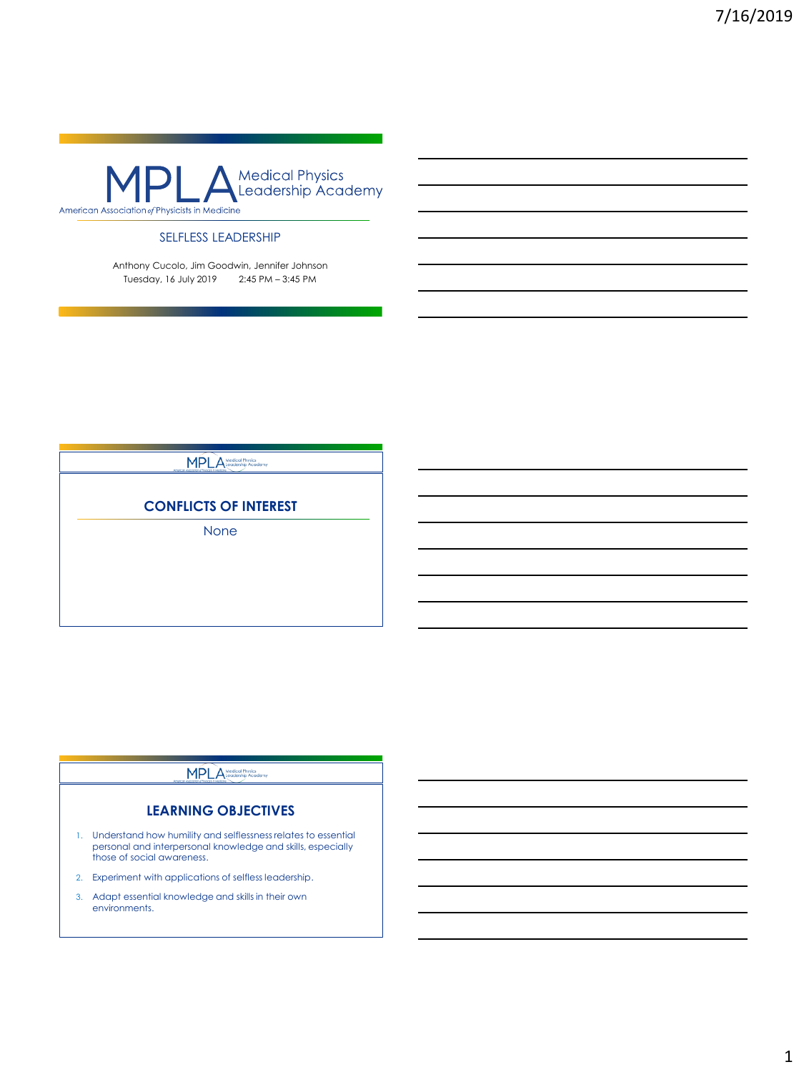

### SELFLESS LEADERSHIP

Anthony Cucolo, Jim Goodwin, Jennifer Johnson Tuesday, 16 July 2019 2:45 PM – 3:45 PM

## MPLA Medical Physics

## **CONFLICTS OF INTEREST**

None

### **MPLA**

### **LEARNING OBJECTIVES**

- 1. Understand how humility and selflessness relates to essential personal and interpersonal knowledge and skills, especially those of social awareness.
- 2. Experiment with applications of selfless leadership.
- 3. Adapt essential knowledge and skills in their own environments.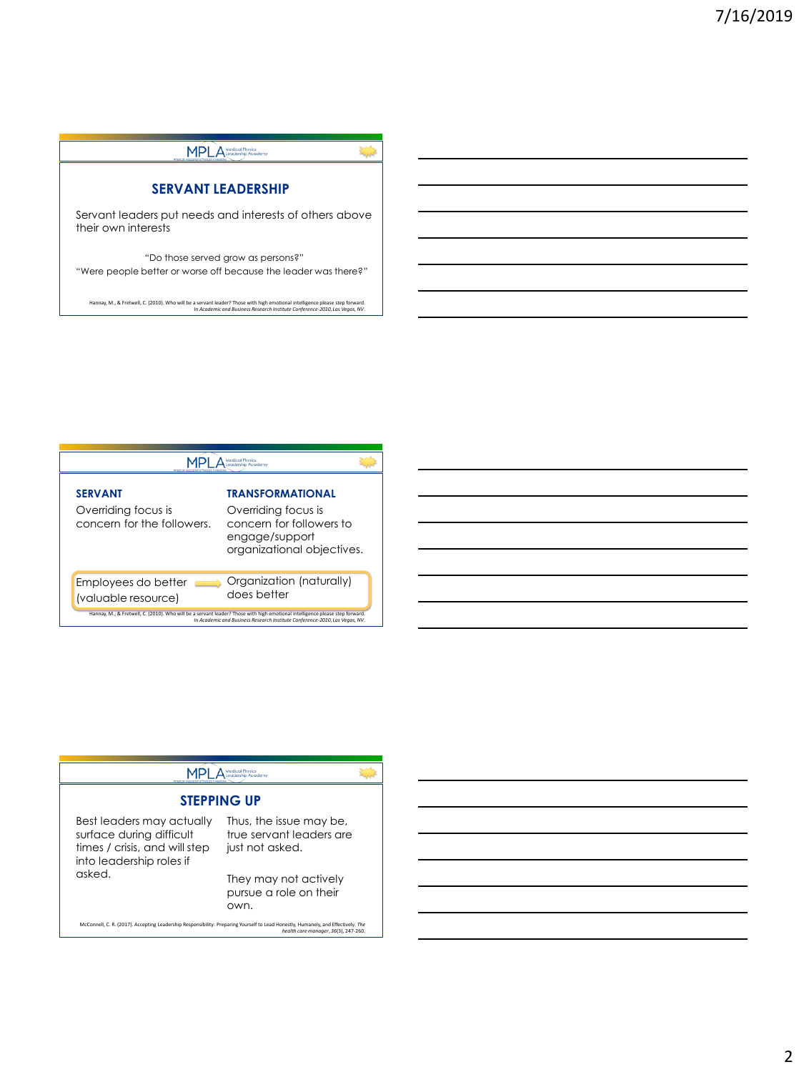

| <b>SERVANT</b><br>Overriding focus is<br>concern for the followers. | TRANSFORMATIONAL<br>Overriding focus is<br>concern for followers to<br>engage/support<br>organizational objectives.                                                                                         |
|---------------------------------------------------------------------|-------------------------------------------------------------------------------------------------------------------------------------------------------------------------------------------------------------|
| Employees do better<br>(valuable resource)                          | Organization (naturally)<br>does better                                                                                                                                                                     |
|                                                                     | Hannay, M., & Fretwell, C. (2010). Who will be a servant leader? Those with high emotional intelligence please step forward.<br>In Academic and Business Research Institute Conference-2010, Las Vegas, NV. |

|                                                                                                                    | <b>Medical Physics</b>                                                                                                                                                    |  |
|--------------------------------------------------------------------------------------------------------------------|---------------------------------------------------------------------------------------------------------------------------------------------------------------------------|--|
|                                                                                                                    | <b>STEPPING UP</b>                                                                                                                                                        |  |
| Best leaders may actually<br>surface during difficult<br>times / crisis, and will step<br>into leadership roles if | Thus, the issue may be,<br>true servant leaders are<br>just not asked.                                                                                                    |  |
| asked.                                                                                                             | They may not actively<br>pursue a role on their<br>own.                                                                                                                   |  |
|                                                                                                                    | McConnell, C. R. (2017). Accepting Leadership Responsibility: Preparing Yourself to Lead Honestly, Humanely, and Effectively. The<br>health care manager, 36(3), 247-260. |  |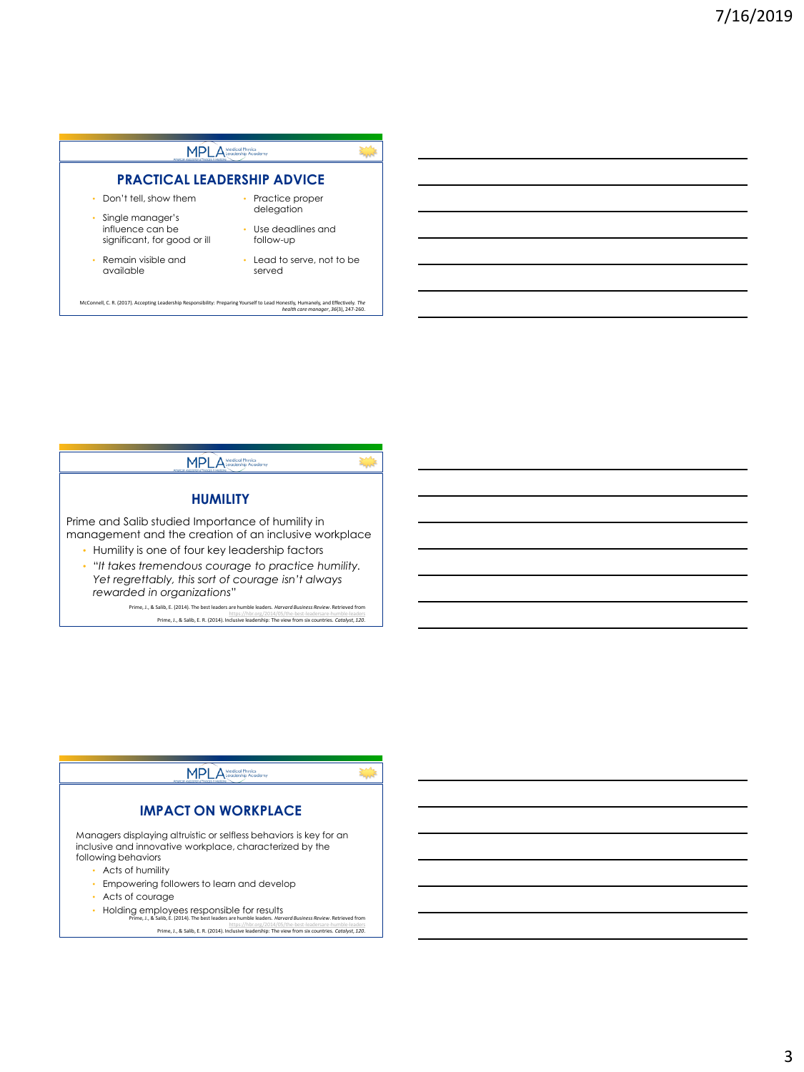



<https://hbr.org/2014/05/the-best-leadersare-humble-leaders> Prime, J., & Salib, E. R. (2014). Inclusive leadership: The view from six countries. *Catalyst*, *120*.



3